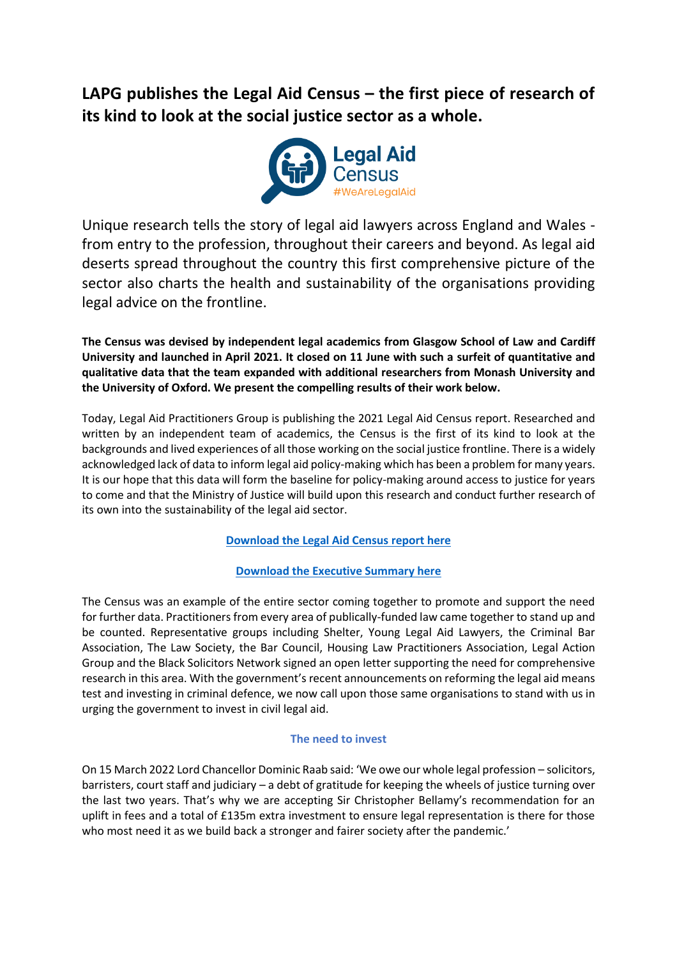## **LAPG publishes the Legal Aid Census – the first piece of research of its kind to look at the social justice sector as a whole.**



Unique research tells the story of legal aid lawyers across England and Wales from entry to the profession, throughout their careers and beyond. As legal aid deserts spread throughout the country this first comprehensive picture of the sector also charts the health and sustainability of the organisations providing legal advice on the frontline.

**The Census was devised by independent legal academics from Glasgow School of Law and Cardiff University and launched in April 2021. It closed on 11 June with such a surfeit of quantitative and qualitative data that the team expanded with additional researchers from Monash University and the University of Oxford. We present the compelling results of their work below.**

Today, Legal Aid Practitioners Group is publishing the 2021 Legal Aid Census report. Researched and written by an independent team of academics, the Census is the first of its kind to look at the backgrounds and lived experiences of all those working on the social justice frontline. There is a widely acknowledged lack of data to inform legal aid policy-making which has been a problem for many years. It is our hope that this data will form the baseline for policy-making around access to justice for years to come and that the Ministry of Justice will build upon this research and conduct further research of its own into the sustainability of the legal aid sector.

**[Download the Legal Aid Census report here](http://lapg.co.uk/wp-content/uploads/We-Are-Legal-Aid_Findings-from-the-2021-Legal-Aid-Census_Final.pdf)**

**[Download the Executive Summary here](http://lapg.co.uk/wp-content/uploads/We-Are-Legal-Aid_Exec-Summary_Final.pdf)**

The Census was an example of the entire sector coming together to promote and support the need for further data. Practitioners from every area of publically-funded law came together to stand up and be counted. Representative groups including Shelter, Young Legal Aid Lawyers, the Criminal Bar Association, The Law Society, the Bar Council, Housing Law Practitioners Association, Legal Action Group and the Black Solicitors Network signed an open letter supporting the need for comprehensive research in this area. With the government's recent announcements on reforming the legal aid means test and investing in criminal defence, we now call upon those same organisations to stand with us in urging the government to invest in civil legal aid.

## **The need to invest**

On 15 March 2022 Lord Chancellor Dominic Raab said: 'We owe our whole legal profession – solicitors, barristers, court staff and judiciary – a debt of gratitude for keeping the wheels of justice turning over the last two years. That's why we are accepting Sir Christopher Bellamy's recommendation for an uplift in fees and a total of £135m extra investment to ensure legal representation is there for those who most need it as we build back a stronger and fairer society after the pandemic.'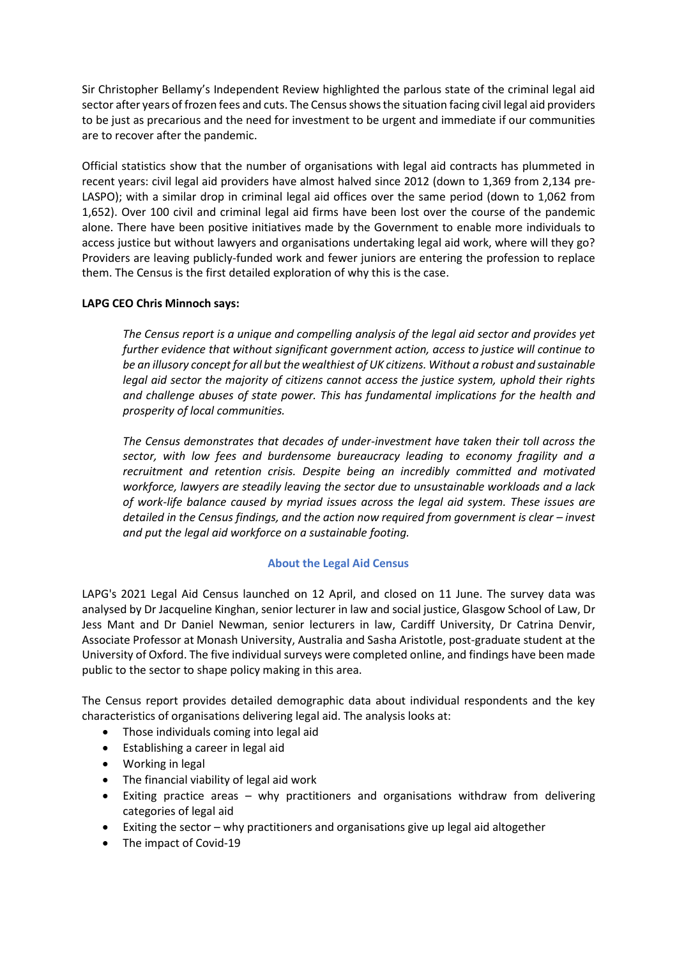Sir Christopher Bellamy's Independent Review highlighted the parlous state of the criminal legal aid sector after years of frozen fees and cuts. The Census shows the situation facing civil legal aid providers to be just as precarious and the need for investment to be urgent and immediate if our communities are to recover after the pandemic.

Official statistics show that the number of organisations with legal aid contracts has plummeted in recent years: civil legal aid providers have almost halved since 2012 (down to 1,369 from 2,134 pre-LASPO); with a similar drop in criminal legal aid offices over the same period (down to 1,062 from 1,652). Over 100 civil and criminal legal aid firms have been lost over the course of the pandemic alone. There have been positive initiatives made by the Government to enable more individuals to access justice but without lawyers and organisations undertaking legal aid work, where will they go? Providers are leaving publicly-funded work and fewer juniors are entering the profession to replace them. The Census is the first detailed exploration of why this is the case.

## **LAPG CEO Chris Minnoch says:**

*The Census report is a unique and compelling analysis of the legal aid sector and provides yet further evidence that without significant government action, access to justice will continue to be an illusory concept for all but the wealthiest of UK citizens. Without a robust and sustainable legal aid sector the majority of citizens cannot access the justice system, uphold their rights and challenge abuses of state power. This has fundamental implications for the health and prosperity of local communities.* 

*The Census demonstrates that decades of under-investment have taken their toll across the sector, with low fees and burdensome bureaucracy leading to economy fragility and a recruitment and retention crisis. Despite being an incredibly committed and motivated workforce, lawyers are steadily leaving the sector due to unsustainable workloads and a lack of work-life balance caused by myriad issues across the legal aid system. These issues are detailed in the Census findings, and the action now required from government is clear – invest and put the legal aid workforce on a sustainable footing.*

## **About the Legal Aid Census**

LAPG's 2021 Legal Aid Census launched on 12 April, and closed on 11 June. The survey data was analysed by Dr Jacqueline Kinghan, senior lecturer in law and social justice, Glasgow School of Law, Dr Jess Mant and Dr Daniel Newman, senior lecturers in law, Cardiff University, Dr Catrina Denvir, Associate Professor at Monash University, Australia and Sasha Aristotle, post-graduate student at the University of Oxford. The five individual surveys were completed online, and findings have been made public to the sector to shape policy making in this area.

The Census report provides detailed demographic data about individual respondents and the key characteristics of organisations delivering legal aid. The analysis looks at:

- Those individuals coming into legal aid
- Establishing a career in legal aid
- Working in legal
- The financial viability of legal aid work
- Exiting practice areas why practitioners and organisations withdraw from delivering categories of legal aid
- Exiting the sector why practitioners and organisations give up legal aid altogether
- The impact of Covid-19